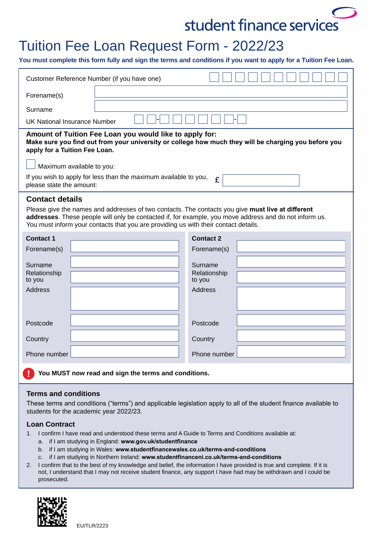# student finance services

## Tuition Fee Loan Request Form - 2022/23

**You must complete this form fully and sign the terms and conditions if you want to apply for a Tuition Fee Loan.**

| Customer Reference Number (if you have one)                                                                                                                                                                                                                                                                                                                                            |  |                        |  |
|----------------------------------------------------------------------------------------------------------------------------------------------------------------------------------------------------------------------------------------------------------------------------------------------------------------------------------------------------------------------------------------|--|------------------------|--|
| Forename(s)                                                                                                                                                                                                                                                                                                                                                                            |  |                        |  |
| Surname                                                                                                                                                                                                                                                                                                                                                                                |  |                        |  |
| UK National Insurance Number                                                                                                                                                                                                                                                                                                                                                           |  |                        |  |
| Amount of Tuition Fee Loan you would like to apply for:<br>Make sure you find out from your university or college how much they will be charging you before you<br>apply for a Tuition Fee Loan.                                                                                                                                                                                       |  |                        |  |
| Maximum available to you:                                                                                                                                                                                                                                                                                                                                                              |  |                        |  |
| If you wish to apply for less than the maximum available to you,<br>£<br>please state the amount:                                                                                                                                                                                                                                                                                      |  |                        |  |
| <b>Contact details</b><br>Please give the names and addresses of two contacts. The contacts you give must live at different<br>addresses. These people will only be contacted if, for example, you move address and do not inform us.<br>You must inform your contacts that you are providing us with their contact details.                                                           |  |                        |  |
| <b>Contact 1</b>                                                                                                                                                                                                                                                                                                                                                                       |  | <b>Contact 2</b>       |  |
| Forename(s)                                                                                                                                                                                                                                                                                                                                                                            |  | Forename(s)            |  |
| Surname                                                                                                                                                                                                                                                                                                                                                                                |  | Surname                |  |
| Relationship<br>to you                                                                                                                                                                                                                                                                                                                                                                 |  | Relationship<br>to you |  |
| <b>Address</b>                                                                                                                                                                                                                                                                                                                                                                         |  | Address                |  |
|                                                                                                                                                                                                                                                                                                                                                                                        |  |                        |  |
|                                                                                                                                                                                                                                                                                                                                                                                        |  | Postcode               |  |
| Postcode                                                                                                                                                                                                                                                                                                                                                                               |  |                        |  |
| Country                                                                                                                                                                                                                                                                                                                                                                                |  | Country                |  |
| Phone number                                                                                                                                                                                                                                                                                                                                                                           |  | Phone number           |  |
| You MUST now read and sign the terms and conditions.                                                                                                                                                                                                                                                                                                                                   |  |                        |  |
| <b>Terms and conditions</b><br>These terms and conditions ("terms") and applicable legislation apply to all of the student finance available to<br>students for the academic year 2022/23.                                                                                                                                                                                             |  |                        |  |
| <b>Loan Contract</b><br>I confirm I have read and understood these terms and A Guide to Terms and Conditions available at:<br>1.<br>if I am studying in England: www.gov.uk/studentfinance<br>a.<br>if I am studying in Wales: www.studentfinancewales.co.uk/terms-and-conditions<br>b.<br>if I am studying in Northern Ireland: www.studentfinanceni.co.uk/terms-and-conditions<br>c. |  |                        |  |

2. I confirm that to the best of my knowledge and belief, the information I have provided is true and complete. If it is not, I understand that I may not receive student finance, any support I have had may be withdrawn and I could be prosecuted.



EU/TLR/2223